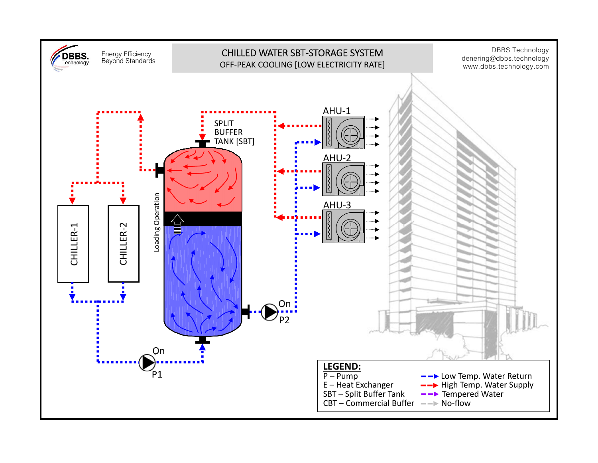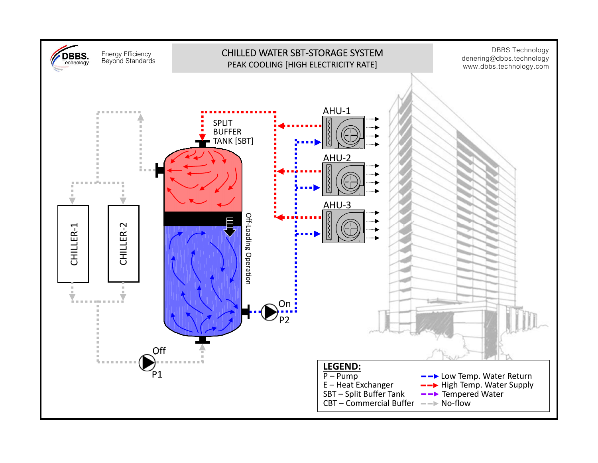